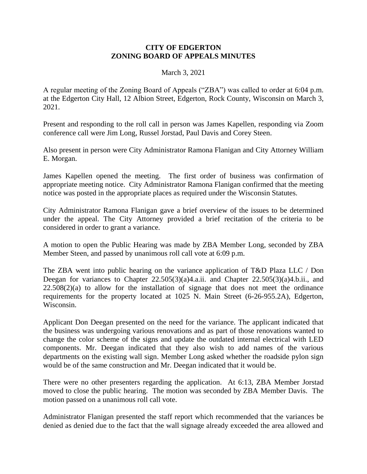## **CITY OF EDGERTON ZONING BOARD OF APPEALS MINUTES**

## March 3, 2021

A regular meeting of the Zoning Board of Appeals ("ZBA") was called to order at 6:04 p.m. at the Edgerton City Hall, 12 Albion Street, Edgerton, Rock County, Wisconsin on March 3, 2021.

Present and responding to the roll call in person was James Kapellen, responding via Zoom conference call were Jim Long, Russel Jorstad, Paul Davis and Corey Steen.

Also present in person were City Administrator Ramona Flanigan and City Attorney William E. Morgan.

James Kapellen opened the meeting. The first order of business was confirmation of appropriate meeting notice. City Administrator Ramona Flanigan confirmed that the meeting notice was posted in the appropriate places as required under the Wisconsin Statutes.

City Administrator Ramona Flanigan gave a brief overview of the issues to be determined under the appeal. The City Attorney provided a brief recitation of the criteria to be considered in order to grant a variance.

A motion to open the Public Hearing was made by ZBA Member Long, seconded by ZBA Member Steen, and passed by unanimous roll call vote at 6:09 p.m.

The ZBA went into public hearing on the variance application of T&D Plaza LLC / Don Deegan for variances to Chapter 22.505(3)(a)4.a.ii. and Chapter 22.505(3)(a)4.b.ii., and  $22.508(2)(a)$  to allow for the installation of signage that does not meet the ordinance requirements for the property located at 1025 N. Main Street (6-26-955.2A), Edgerton, Wisconsin.

Applicant Don Deegan presented on the need for the variance. The applicant indicated that the business was undergoing various renovations and as part of those renovations wanted to change the color scheme of the signs and update the outdated internal electrical with LED components. Mr. Deegan indicated that they also wish to add names of the various departments on the existing wall sign. Member Long asked whether the roadside pylon sign would be of the same construction and Mr. Deegan indicated that it would be.

There were no other presenters regarding the application. At 6:13, ZBA Member Jorstad moved to close the public hearing. The motion was seconded by ZBA Member Davis. The motion passed on a unanimous roll call vote.

Administrator Flanigan presented the staff report which recommended that the variances be denied as denied due to the fact that the wall signage already exceeded the area allowed and